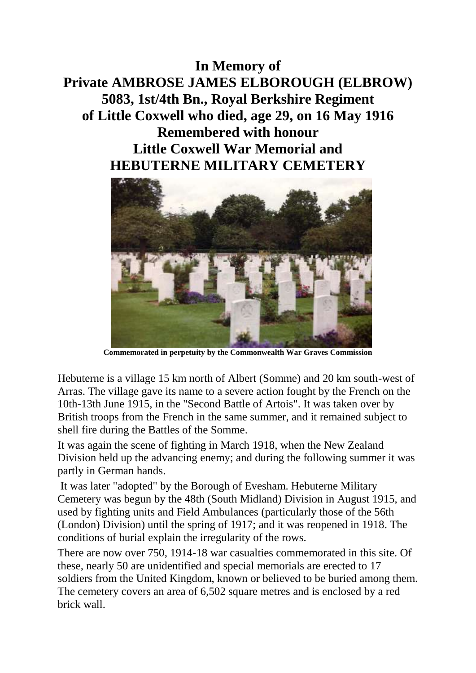## **In Memory of Private AMBROSE JAMES ELBOROUGH (ELBROW) 5083, 1st/4th Bn., Royal Berkshire Regiment of Little Coxwell who died, age 29, on 16 May 1916 Remembered with honour Little Coxwell War Memorial and HEBUTERNE MILITARY CEMETERY**



**Commemorated in perpetuity by the Commonwealth War Graves Commission**

Hebuterne is a village 15 km north of Albert (Somme) and 20 km south-west of Arras. The village gave its name to a severe action fought by the French on the 10th-13th June 1915, in the "Second Battle of Artois". It was taken over by British troops from the French in the same summer, and it remained subject to shell fire during the Battles of the Somme.

It was again the scene of fighting in March 1918, when the New Zealand Division held up the advancing enemy; and during the following summer it was partly in German hands.

It was later "adopted" by the Borough of Evesham. Hebuterne Military Cemetery was begun by the 48th (South Midland) Division in August 1915, and used by fighting units and Field Ambulances (particularly those of the 56th (London) Division) until the spring of 1917; and it was reopened in 1918. The conditions of burial explain the irregularity of the rows.

There are now over 750, 1914-18 war casualties commemorated in this site. Of these, nearly 50 are unidentified and special memorials are erected to 17 soldiers from the United Kingdom, known or believed to be buried among them. The cemetery covers an area of 6,502 square metres and is enclosed by a red brick wall.